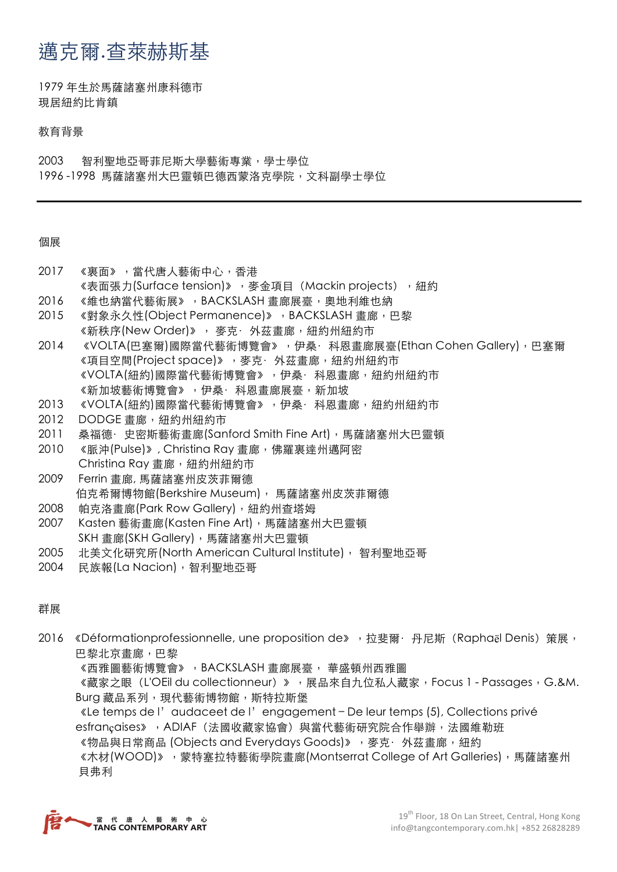## 邁克爾.查萊赫斯基

1979 年⽣於⾺薩諸塞州康科德市 現居紐約比肯鎮

教育背景

2003 智利聖地亞哥菲尼斯大學藝術專業,學士學位 1996-1998 馬薩諸塞州大巴靈頓巴德西蒙洛克學院,文科副學士學位

個展

- 2017 《裏面》,當代唐人藝術中心,香港
- 《表面張力(Surface tension)》, 麥金項目 (Mackin projects), 細約
- 2016 《維也納當代藝術展》,BACKSLASH 畫廊展臺,奧地利維也納
- 2015 《對象永久性(Object Permanence)》, BACKSLASH 畫廊, 巴黎 《新秩序(New Order)》, 麥克· 外茲畫廊, 紐約州紐約市
- 2014 《VOLTA(巴塞爾)國際當代藝術博覽會》,伊桑·科恩畫廊展臺(Ethan Cohen Gallery),巴塞爾 《項目空間(Project space)》, 麥克· 外茲畫廊, 紐約州紐約市 《VOLTA(紐約)國際當代藝術博覽會》,伊桑·科恩畫廊,紐約州紐約市 《新加坡藝術博覽會》,伊桑·科恩畫廊展臺,新加坡
- 2013 《VOLTA(紐約)國際當代藝術博覽會》, 伊桑·科恩畫廊, 紐約州紐約市
- 2012 DODGE 畫廊, 紐約州紐約市
- 2011 桑福德·史密斯藝術畫廊(Sanford Smith Fine Art), 馬薩諸塞州大巴靈頓
- 2010 《脈沖(Pulse)》, Christina Ray 畫廊, 佛羅裏達州邁阿密 Christina Ray 畫廊, 紐約州紐約市
- 2009 Ferrin 書廊, 馬薩諸塞州皮茨菲爾德 伯克希爾博物館(Berkshire Museum), 馬薩諸塞州皮茨菲爾德
- 2008 帕克洛書廊(Park Row Gallery), 紐約州杳塔姆
- 2007 Kasten 藝術畫廊(Kasten Fine Art), 馬薩諸塞州大巴靈頓 SKH 畫廊(SKH Gallery), 馬薩諸塞州大巴靈頓
- 2005 北美文化研究所(North American Cultural Institute), 智利聖地亞哥
- 2004 ⺠族報(La Nacion),智利聖地亞哥

群展

- 2016 《Déformationprofessionnelle, une proposition de》, 拉斐爾·丹尼斯 (Raphaël Denis) 策展, 巴黎北京畫廊,巴黎
	- 《西雅圖藝術博覽會》, BACKSLASH 畫廊展臺, 華盛頓州西雅圖
	- 《藏家之眼(L'OEil du collectionneur)》,展品來自九位私人藏家,Focus 1 Passages,G.&M. Burg 藏品系列, 現代藝術博物館, 斯特拉斯堡

《Le temps de l'audaceet de l'engagement – De leur temps (5), Collections privé esfrançaises》, ADIAF (法國收藏家協會) 與當代藝術研究院合作舉辦,法國維勒班 《物品與日常商品 (Objects and Everydays Goods)》, 麥克·外茲書廊, 紐約 《木材(WOOD)》,蒙特塞拉特藝術學院畫廊(Montserrat College of Art Galleries),馬薩諸塞州 貝弗利